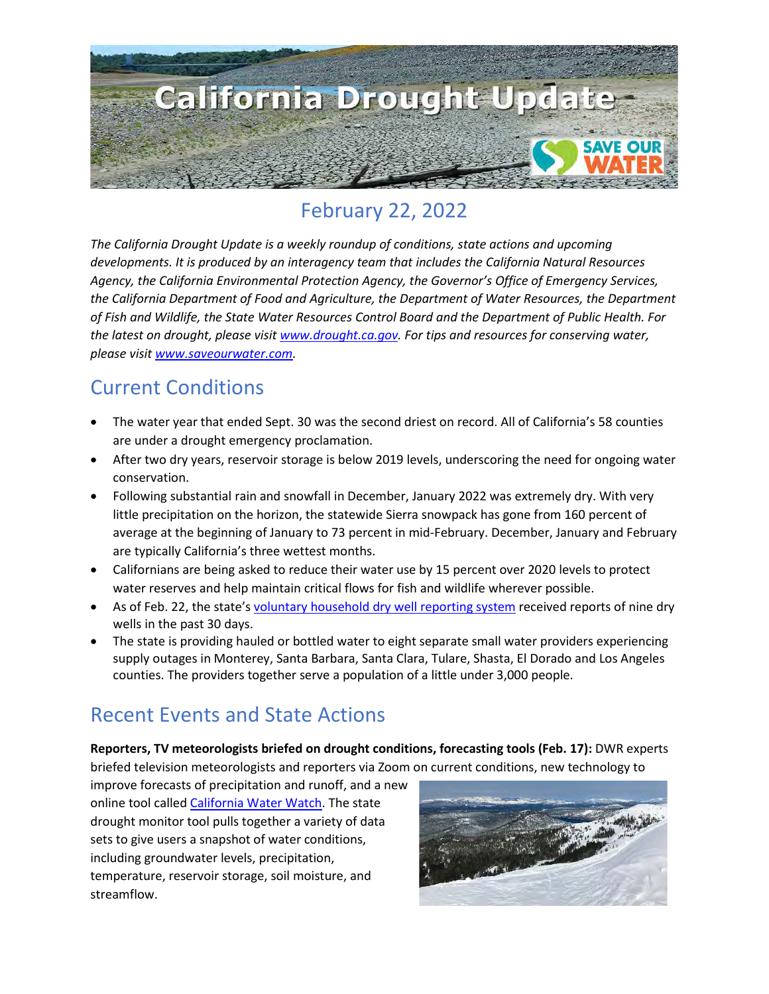

# February 22, 2022

*The California Drought Update is a weekly roundup of conditions, state actions and upcoming developments. It is produced by an interagency team that includes the California Natural Resources Agency, the California Environmental Protection Agency, the Governor's Office of Emergency Services, the California Department of Food and Agriculture, the Department of Water Resources, the Department of Fish and Wildlife, the State Water Resources Control Board and the Department of Public Health. For the latest on drought, please visit [www.drought.ca.gov.](http://www.drought.ca.gov/) For tips and resources for conserving water, please visit [www.saveourwater.com.](http://www.saveourwater.com/)* 

#### Current Conditions

- The water year that ended Sept. 30 was the second driest on record. All of California's 58 counties are under a drought emergency proclamation.
- After two dry years, reservoir storage is below 2019 levels, underscoring the need for ongoing water conservation.
- Following substantial rain and snowfall in December, January 2022 was extremely dry. With very little precipitation on the horizon, the statewide Sierra snowpack has gone from 160 percent of average at the beginning of January to 73 percent in mid-February. December, January and February are typically California's three wettest months.
- Californians are being asked to reduce their water use by 15 percent over 2020 levels to protect water reserves and help maintain critical flows for fish and wildlife wherever possible.
- As of Feb. 22, the state's [voluntary household dry well reporting system](https://mydrywell.water.ca.gov/report/) received reports of nine dry wells in the past 30 days.
- The state is providing hauled or bottled water to eight separate small water providers experiencing supply outages in Monterey, Santa Barbara, Santa Clara, Tulare, Shasta, El Dorado and Los Angeles counties. The providers together serve a population of a little under 3,000 people.

## Recent Events and State Actions

**Reporters, TV meteorologists briefed on drought conditions, forecasting tools (Feb. 17):** DWR experts briefed television meteorologists and reporters via Zoom on current conditions, new technology to

improve forecasts of precipitation and runoff, and a new online tool calle[d California Water Watch.](https://cww.water.ca.gov/) The state drought monitor tool pulls together a variety of data sets to give users a snapshot of water conditions, including groundwater levels, precipitation, temperature, reservoir storage, soil moisture, and streamflow.

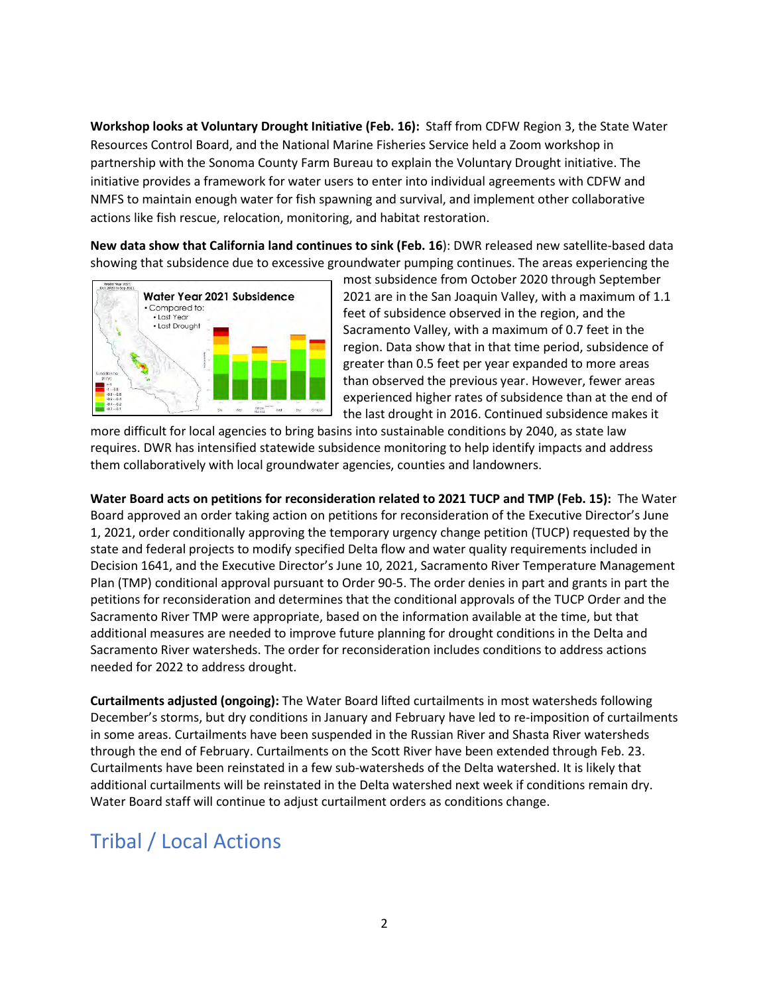**Workshop looks at Voluntary Drought Initiative (Feb. 16):** Staff from CDFW Region 3, the State Water Resources Control Board, and the National Marine Fisheries Service held a Zoom workshop in partnership with the Sonoma County Farm Bureau to explain the Voluntary Drought initiative. The initiative provides a framework for water users to enter into individual agreements with CDFW and NMFS to maintain enough water for fish spawning and survival, and implement other collaborative actions like fish rescue, relocation, monitoring, and habitat restoration.

**New data show that California land continues to sink (Feb. 16**): DWR released new satellite-based data showing that subsidence due to excessive groundwater pumping continues. The areas experiencing the



most subsidence from October 2020 through September 2021 are in the San Joaquin Valley, with a maximum of 1.1 feet of subsidence observed in the region, and the Sacramento Valley, with a maximum of 0.7 feet in the region. Data show that in that time period, subsidence of greater than 0.5 feet per year expanded to more areas than observed the previous year. However, fewer areas experienced higher rates of subsidence than at the end of the last drought in 2016. Continued subsidence makes it

more difficult for local agencies to bring basins into sustainable conditions by 2040, as state law requires. DWR has intensified statewide subsidence monitoring to help identify impacts and address them collaboratively with local groundwater agencies, counties and landowners.

**Water Board acts on petitions for reconsideration related to 2021 TUCP and TMP (Feb. 15):** The Water Board approved an order taking action on petitions for reconsideration of the Executive Director's June 1, 2021, order conditionally approving the temporary urgency change petition (TUCP) requested by the state and federal projects to modify specified Delta flow and water quality requirements included in Decision 1641, and the Executive Director's June 10, 2021, Sacramento River Temperature Management Plan (TMP) conditional approval pursuant to Order 90-5. The order denies in part and grants in part the petitions for reconsideration and determines that the conditional approvals of the TUCP Order and the Sacramento River TMP were appropriate, based on the information available at the time, but that additional measures are needed to improve future planning for drought conditions in the Delta and Sacramento River watersheds. The order for reconsideration includes conditions to address actions needed for 2022 to address drought.

**Curtailments adjusted (ongoing):** The Water Board lifted curtailments in most watersheds following December's storms, but dry conditions in January and February have led to re-imposition of curtailments in some areas. Curtailments have been suspended in the Russian River and Shasta River watersheds through the end of February. Curtailments on the Scott River have been extended through Feb. 23. Curtailments have been reinstated in a few sub-watersheds of the Delta watershed. It is likely that additional curtailments will be reinstated in the Delta watershed next week if conditions remain dry. Water Board staff will continue to adjust curtailment orders as conditions change.

## Tribal / Local Actions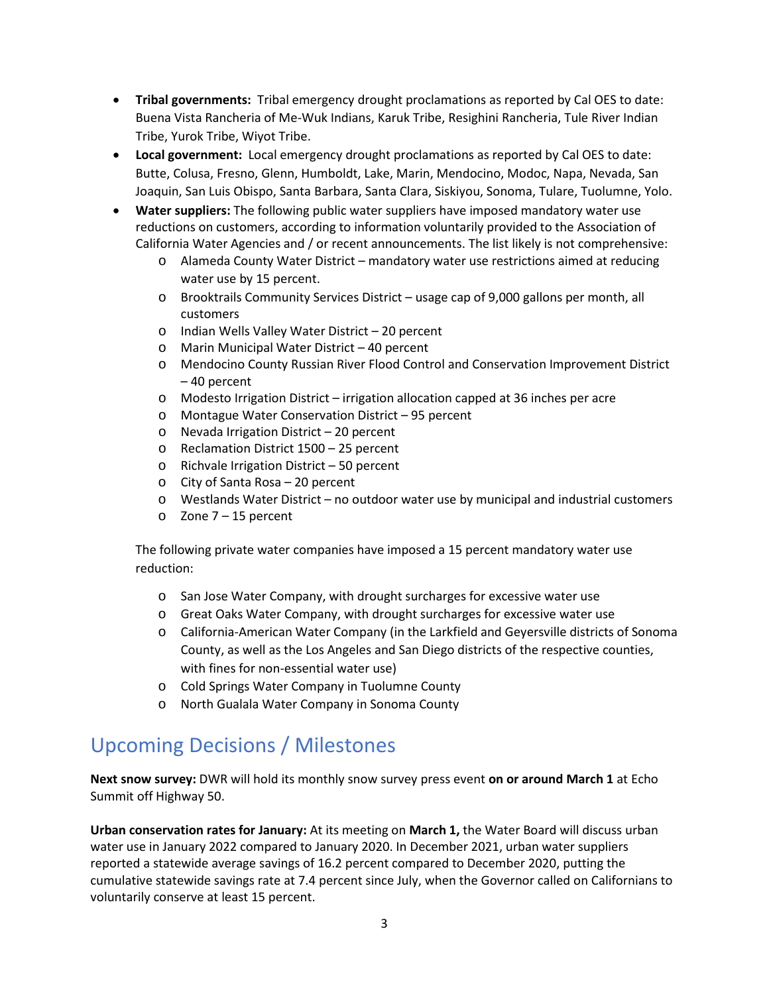- **Tribal governments:** Tribal emergency drought proclamations as reported by Cal OES to date: Buena Vista Rancheria of Me-Wuk Indians, Karuk Tribe, Resighini Rancheria, Tule River Indian Tribe, Yurok Tribe, Wiyot Tribe.
- **Local government:** Local emergency drought proclamations as reported by Cal OES to date: Butte, Colusa, Fresno, Glenn, Humboldt, Lake, Marin, Mendocino, Modoc, Napa, Nevada, San Joaquin, San Luis Obispo, Santa Barbara, Santa Clara, Siskiyou, Sonoma, Tulare, Tuolumne, Yolo.
- **Water suppliers:** The following public water suppliers have imposed mandatory water use reductions on customers, according to information voluntarily provided to the Association of California Water Agencies and / or recent announcements. The list likely is not comprehensive:
	- o Alameda County Water District mandatory water use restrictions aimed at reducing water use by 15 percent.
	- o Brooktrails Community Services District usage cap of 9,000 gallons per month, all customers
	- o Indian Wells Valley Water District 20 percent
	- o Marin Municipal Water District 40 percent
	- o Mendocino County Russian River Flood Control and Conservation Improvement District – 40 percent
	- o Modesto Irrigation District irrigation allocation capped at 36 inches per acre
	- o Montague Water Conservation District 95 percent
	- o Nevada Irrigation District 20 percent
	- o Reclamation District 1500 25 percent
	- o Richvale Irrigation District 50 percent
	- o City of Santa Rosa 20 percent
	- o Westlands Water District no outdoor water use by municipal and industrial customers
	- o Zone 7 15 percent

The following private water companies have imposed a 15 percent mandatory water use reduction:

- o San Jose Water Company, with drought surcharges for excessive water use
- o Great Oaks Water Company, with drought surcharges for excessive water use
- o California-American Water Company (in the Larkfield and Geyersville districts of Sonoma County, as well as the Los Angeles and San Diego districts of the respective counties, with fines for non-essential water use)
- o Cold Springs Water Company in Tuolumne County
- o North Gualala Water Company in Sonoma County

## Upcoming Decisions / Milestones

**Next snow survey:** DWR will hold its monthly snow survey press event **on or around March 1** at Echo Summit off Highway 50.

**Urban conservation rates for January:** At its meeting on **March 1,** the Water Board will discuss urban water use in January 2022 compared to January 2020. In December 2021, urban water suppliers reported a statewide average savings of 16.2 percent compared to December 2020, putting the cumulative statewide savings rate at 7.4 percent since July, when the Governor called on Californians to voluntarily conserve at least 15 percent.